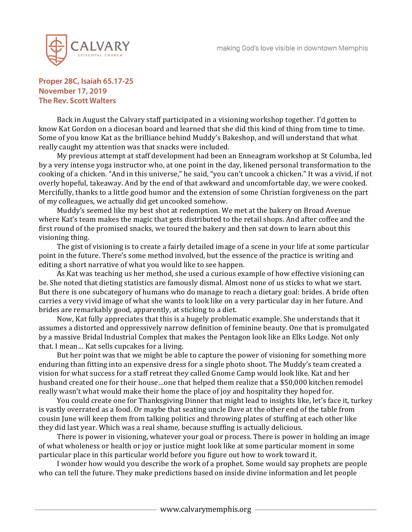

## **Proper 28C, Isaiah 65.17-25 November 17, 2019 The Rev. Scott Walters**

Back in August the Calvary staff participated in a visioning workshop together. I'd gotten to know Kat Gordon on a diocesan board and learned that she did this kind of thing from time to time. Some of you know Kat as the brilliance behind Muddy's Bakeshop, and will understand that what really caught my attention was that snacks were included.

My previous attempt at staff development had been an Enneagram workshop at St Columba, led by a very intense yoga instructor who, at one point in the day, likened personal transformation to the cooking of a chicken. "And in this universe," he said, "you can't uncook a chicken." It was a vivid, if not overly hopeful, takeaway. And by the end of that awkward and uncomfortable day, we were cooked. Mercifully, thanks to a little good humor and the extension of some Christian forgiveness on the part of my colleagues, we actually did get uncooked somehow.

Muddy's seemed like my best shot at redemption. We met at the bakery on Broad Avenue where Kat's team makes the magic that gets distributed to the retail shops. And after coffee and the first round of the promised snacks, we toured the bakery and then sat down to learn about this visioning thing.

The gist of visioning is to create a fairly detailed image of a scene in your life at some particular point in the future. There's some method involved, but the essence of the practice is writing and editing a short narrative of what you would like to see happen.

As Kat was teaching us her method, she used a curious example of how effective visioning can be. She noted that dieting statistics are famously dismal. Almost none of us sticks to what we start. But there is one subcategory of humans who do manage to reach a dietary goal: brides. A bride often carries a very vivid image of what she wants to look like on a very particular day in her future. And brides are remarkably good, apparently, at sticking to a diet.

Now, Kat fully appreciates that this is a hugely problematic example. She understands that it assumes a distorted and oppressively narrow definition of feminine beauty. One that is promulgated by a massive Bridal Industrial Complex that makes the Pentagon look like an Elks Lodge. Not only that. I mean… Kat sells cupcakes for a living.

But her point was that we might be able to capture the power of visioning for something more enduring than fitting into an expensive dress for a single photo shoot. The Muddy's team created a vision for what success for a staff retreat they called Gnome Camp would look like. Kat and her husband created one for their house…one that helped them realize that a \$50,000 kitchen remodel really wasn't what would make their home the place of joy and hospitality they hoped for.

You could create one for Thanksgiving Dinner that might lead to insights like, let's face it, turkey is vastly overrated as a food. Or maybe that seating uncle Dave at the other end of the table from cousin June will keep them from talking politics and throwing plates of stuffing at each other like they did last year. Which was a real shame, because stuffing is actually delicious.

There is power in visioning, whatever your goal or process. There is power in holding an image of what wholeness or health or joy or justice might look like at some particular moment in some particular place in this particular world before you figure out how to work toward it.

I wonder how would you describe the work of a prophet. Some would say prophets are people who can tell the future. They make predictions based on inside divine information and let people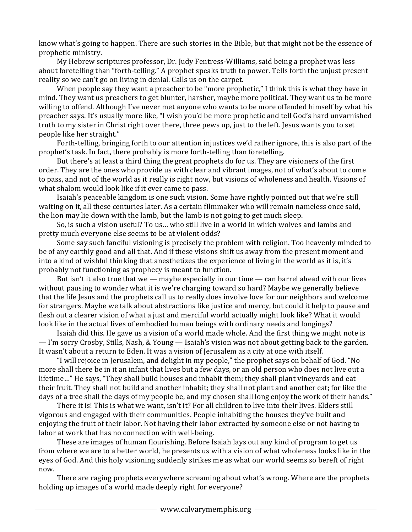know what's going to happen. There are such stories in the Bible, but that might not be the essence of prophetic ministry.

My Hebrew scriptures professor, Dr. Judy Fentress-Williams, said being a prophet was less about foretelling than "forth-telling." A prophet speaks truth to power. Tells forth the unjust present reality so we can't go on living in denial. Calls us on the carpet.

When people say they want a preacher to be "more prophetic," I think this is what they have in mind. They want us preachers to get blunter, harsher, maybe more political. They want us to be more willing to offend. Although I've never met anyone who wants to be more offended himself by what his preacher says. It's usually more like, "I wish you'd be more prophetic and tell God's hard unvarnished truth to my sister in Christ right over there, three pews up, just to the left. Jesus wants you to set people like her straight."

Forth-telling, bringing forth to our attention injustices we'd rather ignore, this is also part of the prophet's task. In fact, there probably is more forth-telling than foretelling.

But there's at least a third thing the great prophets do for us. They are visioners of the first order. They are the ones who provide us with clear and vibrant images, not of what's about to come to pass, and not of the world as it really is right now, but visions of wholeness and health. Visions of what shalom would look like if it ever came to pass.

Isaiah's peaceable kingdom is one such vision. Some have rightly pointed out that we're still waiting on it, all these centuries later. As a certain filmmaker who will remain nameless once said, the lion may lie down with the lamb, but the lamb is not going to get much sleep.

So, is such a vision useful? To us… who still live in a world in which wolves and lambs and pretty much everyone else seems to be at violent odds?

Some say such fanciful visioning is precisely the problem with religion. Too heavenly minded to be of any earthly good and all that. And if these visions shift us away from the present moment and into a kind of wishful thinking that anesthetizes the experience of living in the world as it is, it's probably not functioning as prophecy is meant to function.

But isn't it also true that we  $-$  maybe especially in our time  $-$  can barrel ahead with our lives without pausing to wonder what it is we're charging toward so hard? Maybe we generally believe that the life Jesus and the prophets call us to really does involve love for our neighbors and welcome for strangers. Maybe we talk about abstractions like justice and mercy, but could it help to pause and flesh out a clearer vision of what a just and merciful world actually might look like? What it would look like in the actual lives of embodied human beings with ordinary needs and longings?

Isaiah did this. He gave us a vision of a world made whole. And the first thing we might note is — I'm sorry Crosby, Stills, Nash, & Young — Isaiah's vision was not about getting back to the garden. It wasn't about a return to Eden. It was a vision of Jerusalem as a city at one with itself.

"I will rejoice in Jerusalem, and delight in my people," the prophet says on behalf of God. "No more shall there be in it an infant that lives but a few days, or an old person who does not live out a lifetime…" He says, "They shall build houses and inhabit them; they shall plant vineyards and eat their fruit. They shall not build and another inhabit; they shall not plant and another eat; for like the days of a tree shall the days of my people be, and my chosen shall long enjoy the work of their hands."

There it is! This is what we want, isn't it? For all children to live into their lives. Elders still vigorous and engaged with their communities. People inhabiting the houses they've built and enjoying the fruit of their labor. Not having their labor extracted by someone else or not having to labor at work that has no connection with well-being.

These are images of human flourishing. Before Isaiah lays out any kind of program to get us from where we are to a better world, he presents us with a vision of what wholeness looks like in the eyes of God. And this holy visioning suddenly strikes me as what our world seems so bereft of right now.

There are raging prophets everywhere screaming about what's wrong. Where are the prophets holding up images of a world made deeply right for everyone?